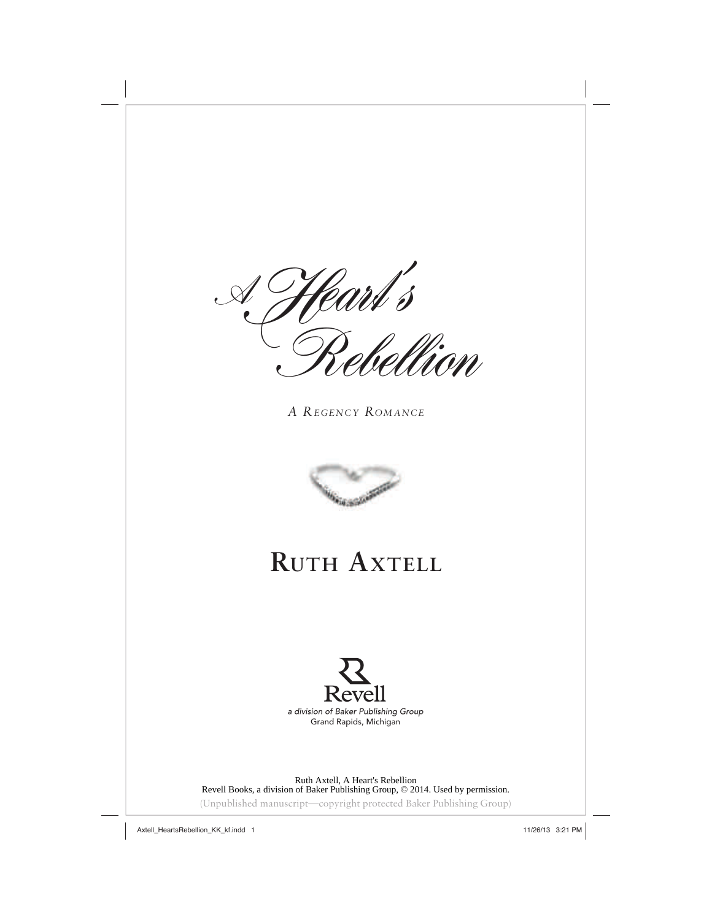eart s<br>Rohall: Rebellion

*A REGE NCY ROM A NCE*



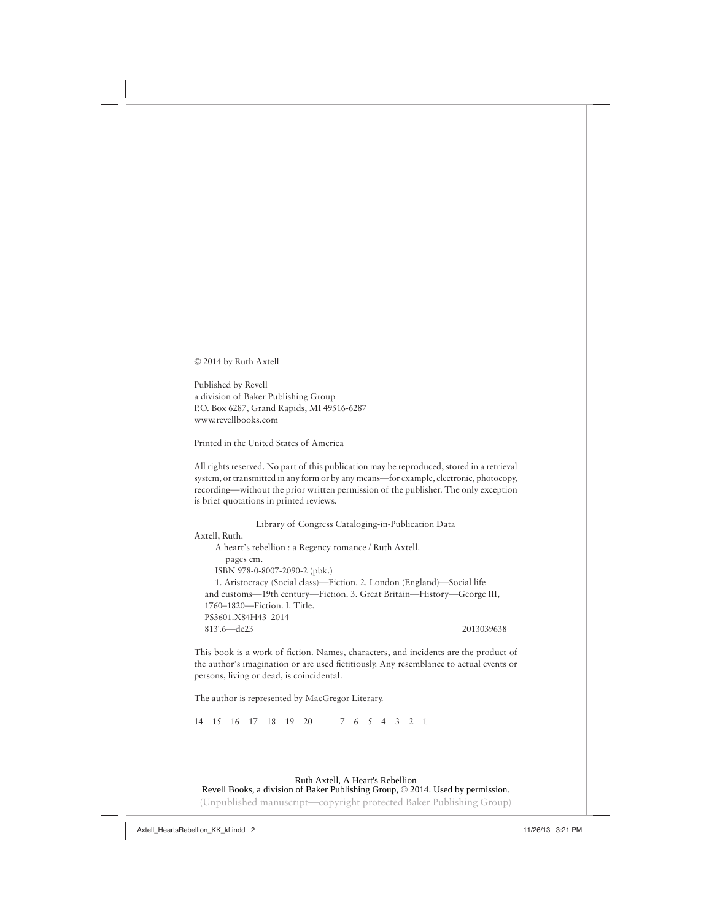© 2014 by Ruth Axtell

Published by Revell a division of Baker Publishing Group P.O. Box 6287, Grand Rapids, MI 49516-6287 www.revellbooks.com

Printed in the United States of America

All rights reserved. No part of this publication may be reproduced, stored in a retrieval system, or transmitted in any form or by any means—for example, electronic, photocopy, recording—without the prior written permission of the publisher. The only exception is brief quotations in printed reviews.

Library of Congress Cataloging-in-Publication Data Axtell, Ruth. A heart's rebellion : a Regency romance / Ruth Axtell. pages cm. ISBN 978-0-8007-2090-2 (pbk.) 1. Aristocracy (Social class)—Fiction. 2. London (England)—Social life and customs—19th century—Fiction. 3. Great Britain—History—George III, 1760–1820—Fiction. I. Title. PS3601.X84H43 2014 813 .6—dc23 2013039638

This book is a work of fiction. Names, characters, and incidents are the product of the author's imagination or are used fictitiously. Any resemblance to actual events or persons, living or dead, is coincidental.

The author is represented by MacGregor Literary.

14 15 16 17 18 19 20 7 6 5 4 3 2 1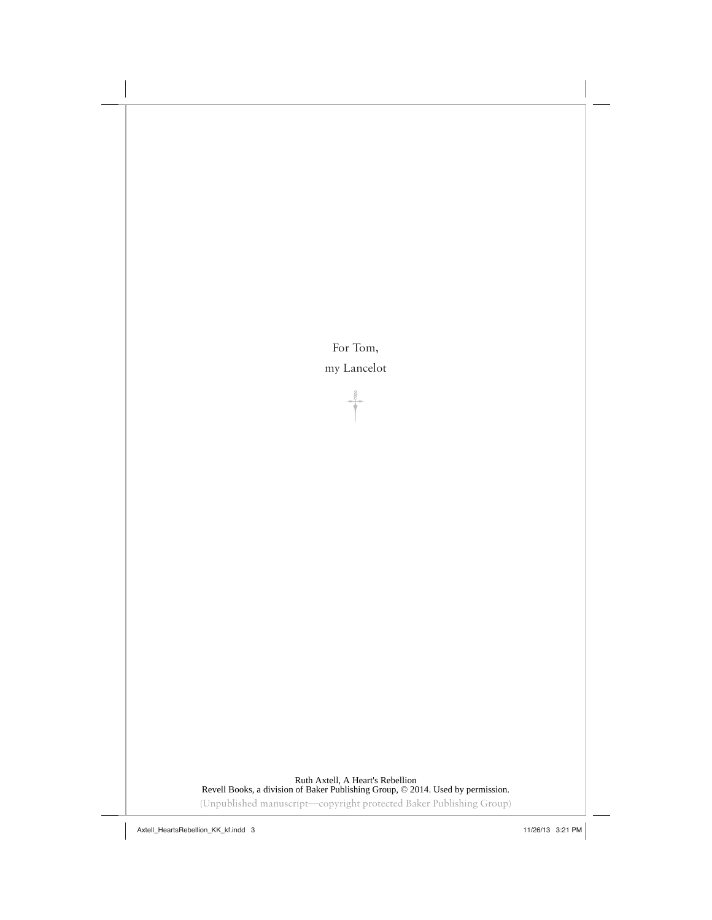For Tom, my Lancelot

]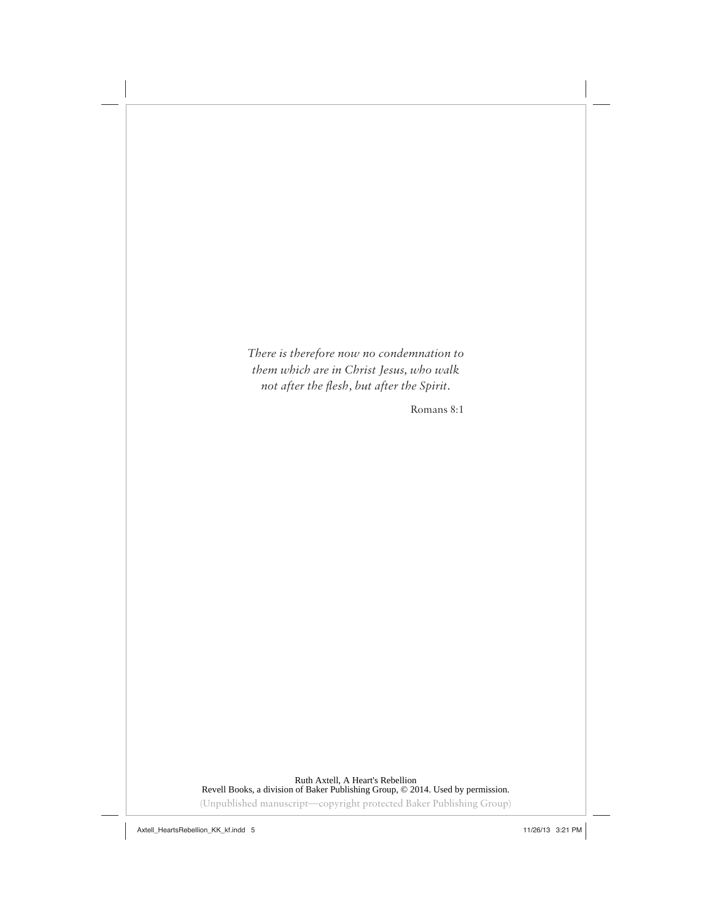*There is therefore now no condemnation to them which are in Christ Jesus, who walk not after the flesh, but after the Spirit.*

Romans 8:1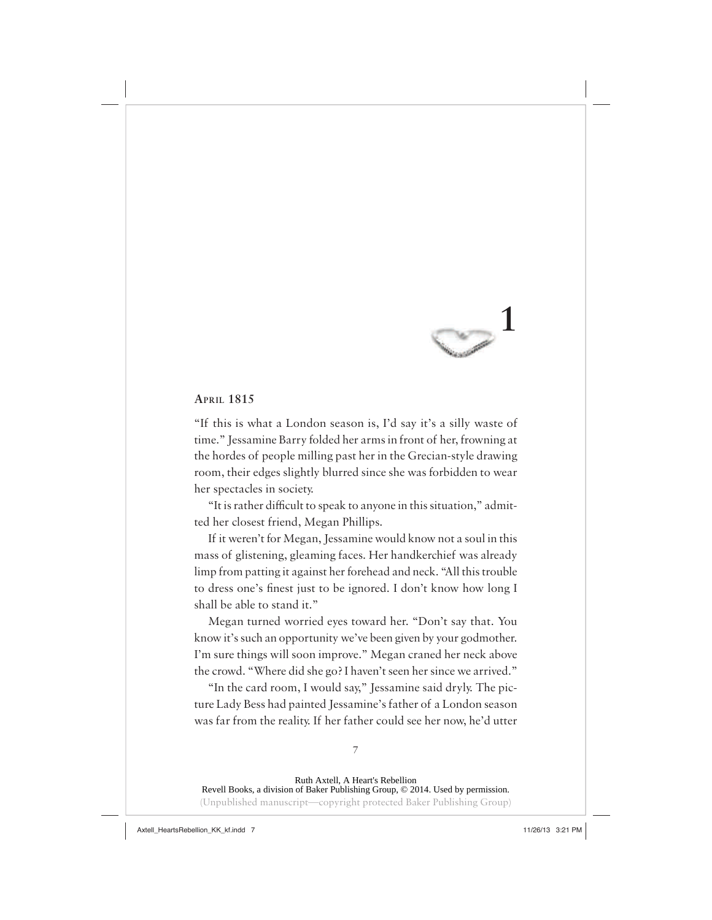

### **APRIL 1815**

"If this is what a London season is, I'd say it's a silly waste of time." Jessamine Barry folded her arms in front of her, frowning at the hordes of people milling past her in the Grecian-style drawing room, their edges slightly blurred since she was forbidden to wear her spectacles in society.

"It is rather difficult to speak to anyone in this situation," admitted her closest friend, Megan Phillips.

If it weren't for Megan, Jessamine would know not a soul in this mass of glistening, gleaming faces. Her handkerchief was already limp from patting it against her forehead and neck. "All this trouble to dress one's finest just to be ignored. I don't know how long I shall be able to stand it."

Megan turned worried eyes toward her. "Don't say that. You know it's such an opportunity we've been given by your godmother. I'm sure things will soon improve." Megan craned her neck above the crowd. "Where did she go? I haven't seen her since we arrived."

"In the card room, I would say," Jessamine said dryly. The picture Lady Bess had painted Jessamine's father of a London season was far from the reality. If her father could see her now, he'd utter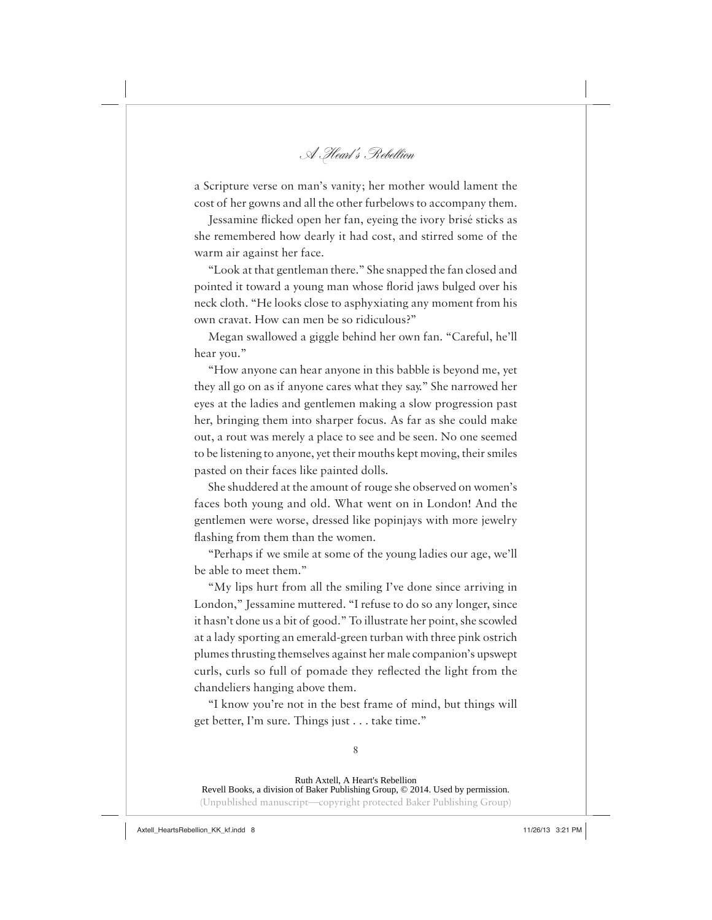## A Heart's Rebellion

a Scripture verse on man's vanity; her mother would lament the cost of her gowns and all the other furbelows to accompany them.

Jessamine flicked open her fan, eyeing the ivory brisé sticks as she remembered how dearly it had cost, and stirred some of the warm air against her face.

"Look at that gentleman there." She snapped the fan closed and pointed it toward a young man whose florid jaws bulged over his neck cloth. "He looks close to asphyxiating any moment from his own cravat. How can men be so ridiculous?"

Megan swallowed a giggle behind her own fan. "Careful, he'll hear you."

"How anyone can hear anyone in this babble is beyond me, yet they all go on as if anyone cares what they say." She narrowed her eyes at the ladies and gentlemen making a slow progression past her, bringing them into sharper focus. As far as she could make out, a rout was merely a place to see and be seen. No one seemed to be listening to anyone, yet their mouths kept moving, their smiles pasted on their faces like painted dolls.

She shuddered at the amount of rouge she observed on women's faces both young and old. What went on in London! And the gentlemen were worse, dressed like popinjays with more jewelry flashing from them than the women.

"Perhaps if we smile at some of the young ladies our age, we'll be able to meet them."

"My lips hurt from all the smiling I've done since arriving in London," Jessamine muttered. "I refuse to do so any longer, since it hasn't done us a bit of good." To illustrate her point, she scowled at a lady sporting an emerald-green turban with three pink ostrich plumes thrusting themselves against her male companion's upswept curls, curls so full of pomade they reflected the light from the chandeliers hanging above them.

"I know you're not in the best frame of mind, but things will get better, I'm sure. Things just . . . take time."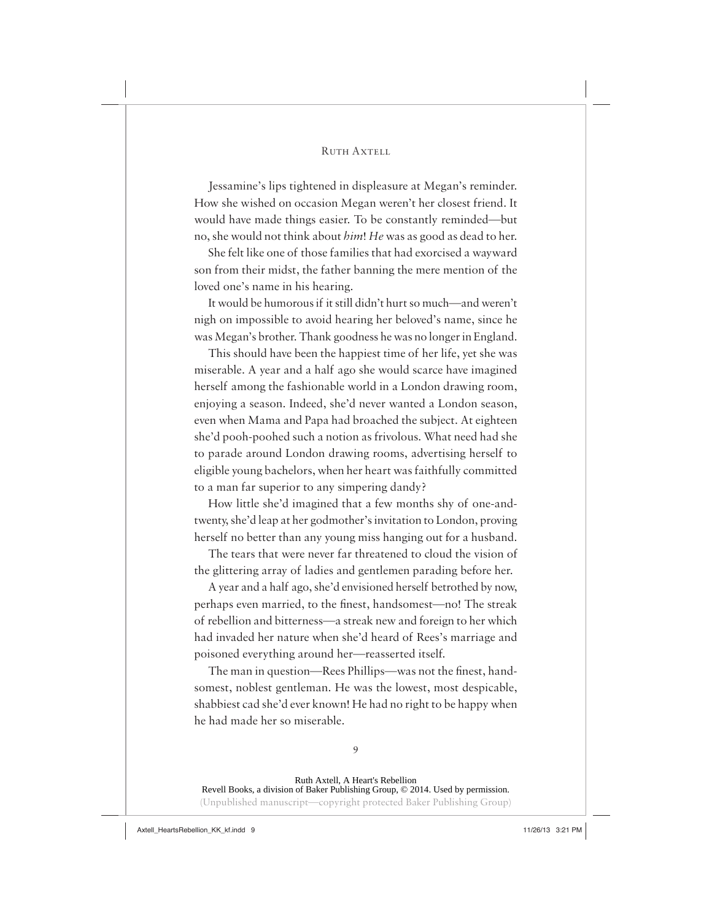Jessamine's lips tightened in displeasure at Megan's reminder. How she wished on occasion Megan weren't her closest friend. It would have made things easier. To be constantly reminded—but no, she would not think about *him*! *He* was as good as dead to her.

She felt like one of those families that had exorcised a wayward son from their midst, the father banning the mere mention of the loved one's name in his hearing.

It would be humorous if it still didn't hurt so much—and weren't nigh on impossible to avoid hearing her beloved's name, since he was Megan's brother. Thank goodness he was no longer in England.

This should have been the happiest time of her life, yet she was miserable. A year and a half ago she would scarce have imagined herself among the fashionable world in a London drawing room, enjoying a season. Indeed, she'd never wanted a London season, even when Mama and Papa had broached the subject. At eighteen she'd pooh-poohed such a notion as frivolous. What need had she to parade around London drawing rooms, advertising herself to eligible young bachelors, when her heart was faithfully committed to a man far superior to any simpering dandy?

How little she'd imagined that a few months shy of one-andtwenty, she'd leap at her godmother's invitation to London, proving herself no better than any young miss hanging out for a husband.

The tears that were never far threatened to cloud the vision of the glittering array of ladies and gentlemen parading before her.

A year and a half ago, she'd envisioned herself betrothed by now, perhaps even married, to the finest, handsomest—no! The streak of rebellion and bitterness—a streak new and foreign to her which had invaded her nature when she'd heard of Rees's marriage and poisoned everything around her—reasserted itself.

The man in question—Rees Phillips—was not the finest, handsomest, noblest gentleman. He was the lowest, most despicable, shabbiest cad she'd ever known! He had no right to be happy when he had made her so miserable.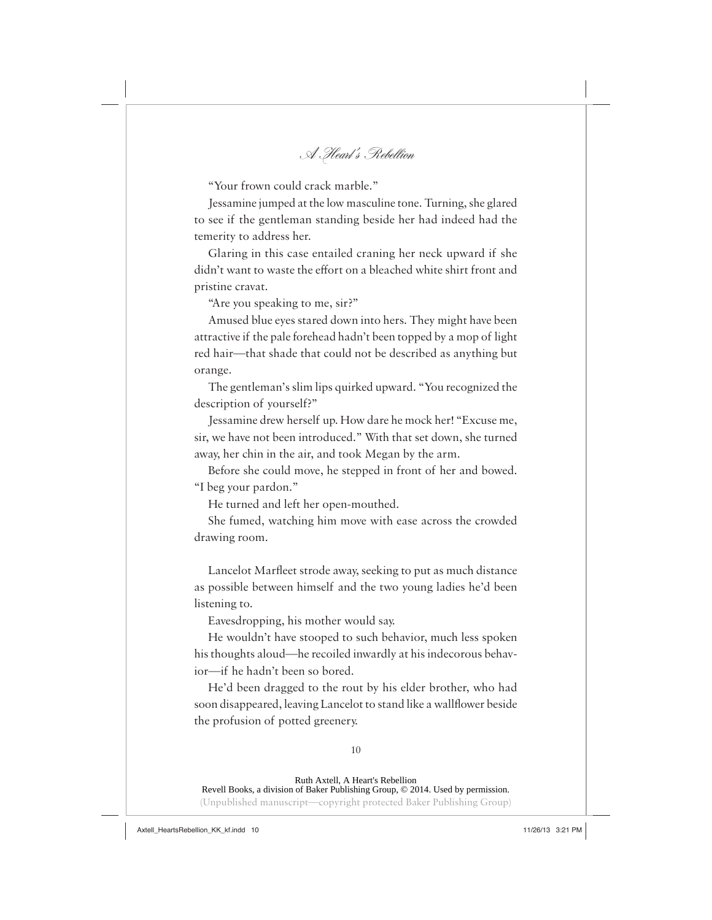A Heart's Rebellion

"Your frown could crack marble."

Jessamine jumped at the low masculine tone. Turning, she glared to see if the gentleman standing beside her had indeed had the temerity to address her.

Glaring in this case entailed craning her neck upward if she didn't want to waste the effort on a bleached white shirt front and pristine cravat.

"Are you speaking to me, sir?"

Amused blue eyes stared down into hers. They might have been attractive if the pale forehead hadn't been topped by a mop of light red hair—that shade that could not be described as anything but orange.

The gentleman's slim lips quirked upward. "You recognized the description of yourself?"

Jessamine drew herself up. How dare he mock her! "Excuse me, sir, we have not been introduced." With that set down, she turned away, her chin in the air, and took Megan by the arm.

Before she could move, he stepped in front of her and bowed. "I beg your pardon."

He turned and left her open-mouthed.

She fumed, watching him move with ease across the crowded drawing room.

Lancelot Marfleet strode away, seeking to put as much distance as possible between himself and the two young ladies he'd been listening to.

Eavesdropping, his mother would say.

He wouldn't have stooped to such behavior, much less spoken his thoughts aloud—he recoiled inwardly at his indecorous behavior—if he hadn't been so bored.

He'd been dragged to the rout by his elder brother, who had soon disappeared, leaving Lancelot to stand like a wallflower beside the profusion of potted greenery.

10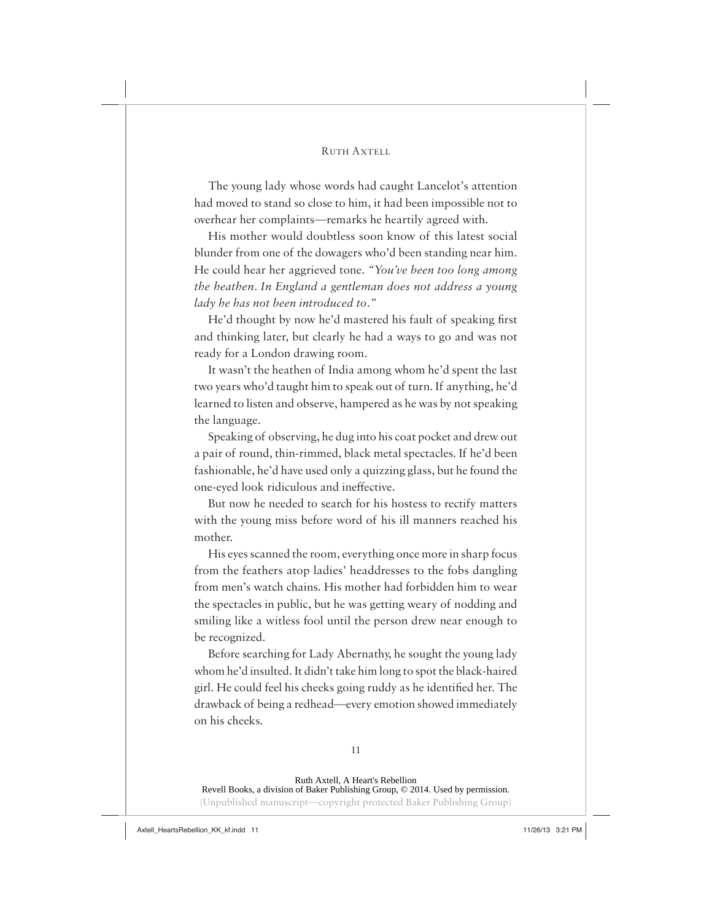The young lady whose words had caught Lancelot's attention had moved to stand so close to him, it had been impossible not to overhear her complaints—remarks he heartily agreed with.

His mother would doubtless soon know of this latest social blunder from one of the dowagers who'd been standing near him. He could hear her aggrieved tone. *"You've been too long among the heathen. In England a gentleman does not address a young lady he has not been introduced to."*

He'd thought by now he'd mastered his fault of speaking first and thinking later, but clearly he had a ways to go and was not ready for a London drawing room.

It wasn't the heathen of India among whom he'd spent the last two years who'd taught him to speak out of turn. If anything, he'd learned to listen and observe, hampered as he was by not speaking the language.

Speaking of observing, he dug into his coat pocket and drew out a pair of round, thin-rimmed, black metal spectacles. If he'd been fashionable, he'd have used only a quizzing glass, but he found the one-eyed look ridiculous and ineffective.

But now he needed to search for his hostess to rectify matters with the young miss before word of his ill manners reached his mother.

His eyes scanned the room, everything once more in sharp focus from the feathers atop ladies' headdresses to the fobs dangling from men's watch chains. His mother had forbidden him to wear the spectacles in public, but he was getting weary of nodding and smiling like a witless fool until the person drew near enough to be recognized.

Before searching for Lady Abernathy, he sought the young lady whom he'd insulted. It didn't take him long to spot the black-haired girl. He could feel his cheeks going ruddy as he identified her. The drawback of being a redhead—every emotion showed immediately on his cheeks.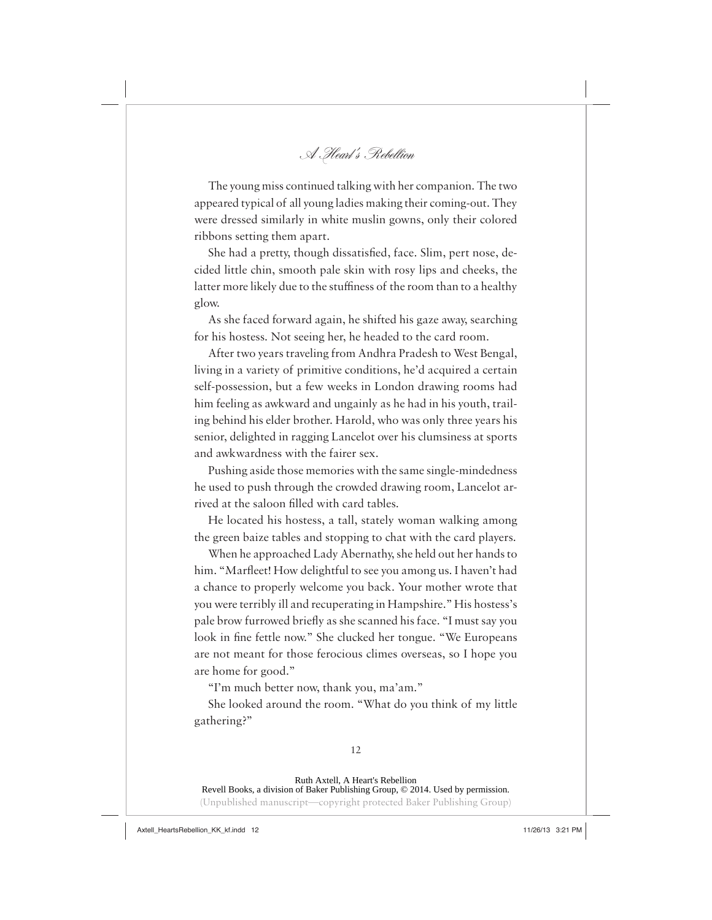## A Heart's Rebellion

The young miss continued talking with her companion. The two appeared typical of all young ladies making their coming-out. They were dressed similarly in white muslin gowns, only their colored ribbons setting them apart.

She had a pretty, though dissatisfied, face. Slim, pert nose, decided little chin, smooth pale skin with rosy lips and cheeks, the latter more likely due to the stuffiness of the room than to a healthy glow.

As she faced forward again, he shifted his gaze away, searching for his hostess. Not seeing her, he headed to the card room.

After two years traveling from Andhra Pradesh to West Bengal, living in a variety of primitive conditions, he'd acquired a certain self-possession, but a few weeks in London drawing rooms had him feeling as awkward and ungainly as he had in his youth, trailing behind his elder brother. Harold, who was only three years his senior, delighted in ragging Lancelot over his clumsiness at sports and awkwardness with the fairer sex.

Pushing aside those memories with the same single-mindedness he used to push through the crowded drawing room, Lancelot arrived at the saloon filled with card tables.

He located his hostess, a tall, stately woman walking among the green baize tables and stopping to chat with the card players.

When he approached Lady Abernathy, she held out her hands to him. "Marfleet! How delightful to see you among us. I haven't had a chance to properly welcome you back. Your mother wrote that you were terribly ill and recuperating in Hampshire." His hostess's pale brow furrowed briefly as she scanned his face. "I must say you look in fine fettle now." She clucked her tongue. "We Europeans are not meant for those ferocious climes overseas, so I hope you are home for good."

"I'm much better now, thank you, ma'am."

She looked around the room. "What do you think of my little gathering?"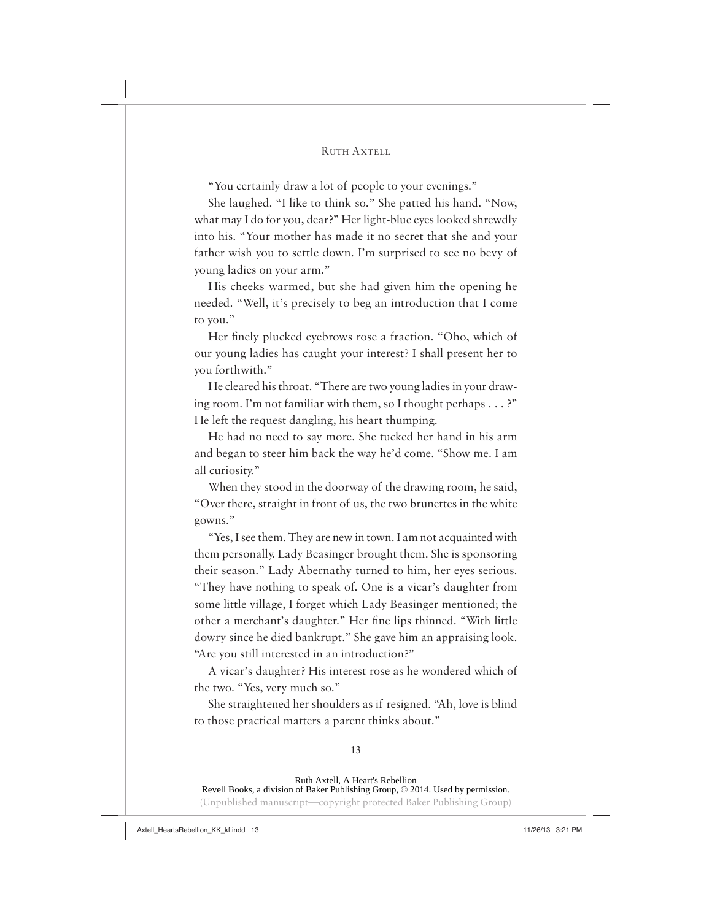"You certainly draw a lot of people to your evenings."

She laughed. "I like to think so." She patted his hand. "Now, what may I do for you, dear?" Her light-blue eyes looked shrewdly into his. "Your mother has made it no secret that she and your father wish you to settle down. I'm surprised to see no bevy of young ladies on your arm."

His cheeks warmed, but she had given him the opening he needed. "Well, it's precisely to beg an introduction that I come to you."

Her finely plucked eyebrows rose a fraction. "Oho, which of our young ladies has caught your interest? I shall present her to you forthwith."

He cleared his throat. "There are two young ladies in your drawing room. I'm not familiar with them, so I thought perhaps . . . ?" He left the request dangling, his heart thumping.

He had no need to say more. She tucked her hand in his arm and began to steer him back the way he'd come. "Show me. I am all curiosity."

When they stood in the doorway of the drawing room, he said, "Over there, straight in front of us, the two brunettes in the white gowns."

"Yes, I see them. They are new in town. I am not acquainted with them personally. Lady Beasinger brought them. She is sponsoring their season." Lady Abernathy turned to him, her eyes serious. "They have nothing to speak of. One is a vicar's daughter from some little village, I forget which Lady Beasinger mentioned; the other a merchant's daughter." Her fine lips thinned. "With little dowry since he died bankrupt." She gave him an appraising look. "Are you still interested in an introduction?"

A vicar's daughter? His interest rose as he wondered which of the two. "Yes, very much so."

She straightened her shoulders as if resigned. "Ah, love is blind to those practical matters a parent thinks about."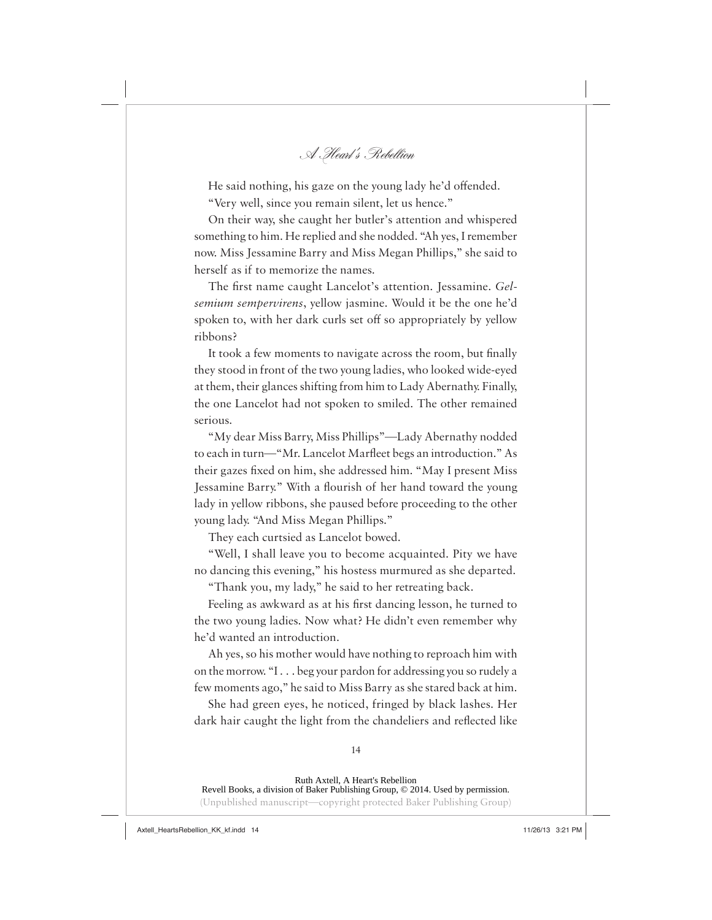A Heart's Rebellion

He said nothing, his gaze on the young lady he'd offended.

"Very well, since you remain silent, let us hence."

On their way, she caught her butler's attention and whispered something to him. He replied and she nodded. "Ah yes, I remember now. Miss Jessamine Barry and Miss Megan Phillips," she said to herself as if to memorize the names.

The first name caught Lancelot's attention. Jessamine. *Gelsemium sempervirens*, yellow jasmine. Would it be the one he'd spoken to, with her dark curls set off so appropriately by yellow ribbons?

It took a few moments to navigate across the room, but finally they stood in front of the two young ladies, who looked wide-eyed at them, their glances shifting from him to Lady Abernathy. Finally, the one Lancelot had not spoken to smiled. The other remained serious.

"My dear Miss Barry, Miss Phillips"—Lady Abernathy nodded to each in turn—"Mr. Lancelot Marfleet begs an introduction." As their gazes fixed on him, she addressed him. "May I present Miss Jessamine Barry." With a flourish of her hand toward the young lady in yellow ribbons, she paused before proceeding to the other young lady. "And Miss Megan Phillips."

They each curtsied as Lancelot bowed.

"Well, I shall leave you to become acquainted. Pity we have no dancing this evening," his hostess murmured as she departed.

"Thank you, my lady," he said to her retreating back.

Feeling as awkward as at his first dancing lesson, he turned to the two young ladies. Now what? He didn't even remember why he'd wanted an introduction.

Ah yes, so his mother would have nothing to reproach him with on the morrow. "I . . . beg your pardon for addressing you so rudely a few moments ago," he said to Miss Barry as she stared back at him.

She had green eyes, he noticed, fringed by black lashes. Her dark hair caught the light from the chandeliers and reflected like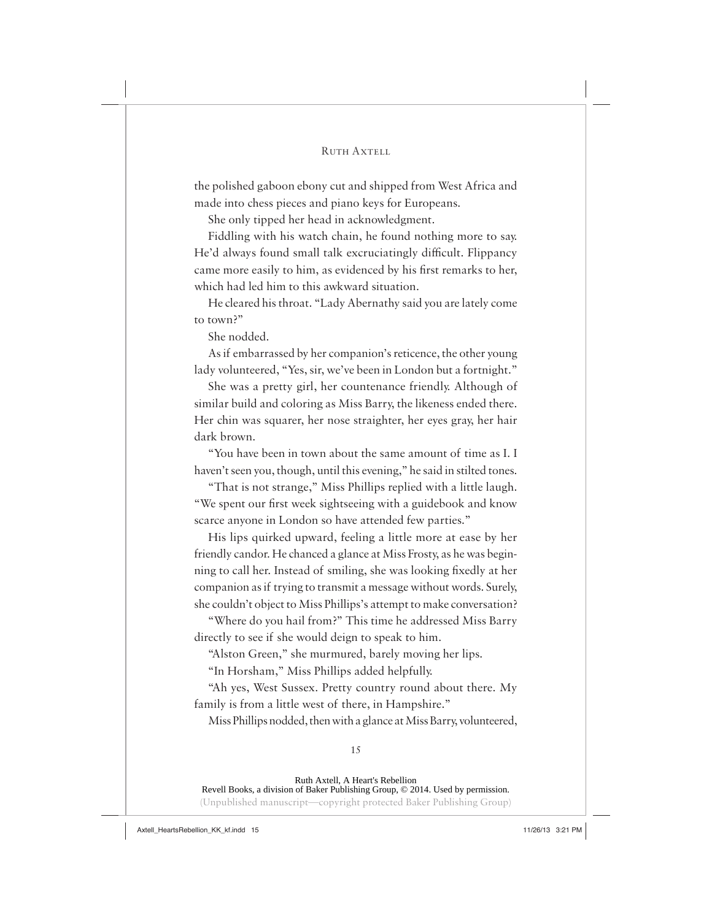the polished gaboon ebony cut and shipped from West Africa and made into chess pieces and piano keys for Europeans.

She only tipped her head in acknowledgment.

Fiddling with his watch chain, he found nothing more to say. He'd always found small talk excruciatingly difficult. Flippancy came more easily to him, as evidenced by his first remarks to her, which had led him to this awkward situation.

He cleared his throat. "Lady Abernathy said you are lately come to town?"

She nodded.

As if embarrassed by her companion's reticence, the other young lady volunteered, "Yes, sir, we've been in London but a fortnight."

She was a pretty girl, her countenance friendly. Although of similar build and coloring as Miss Barry, the likeness ended there. Her chin was squarer, her nose straighter, her eyes gray, her hair dark brown.

"You have been in town about the same amount of time as I. I haven't seen you, though, until this evening," he said in stilted tones.

"That is not strange," Miss Phillips replied with a little laugh. "We spent our first week sightseeing with a guidebook and know scarce anyone in London so have attended few parties."

His lips quirked upward, feeling a little more at ease by her friendly candor. He chanced a glance at Miss Frosty, as he was beginning to call her. Instead of smiling, she was looking fixedly at her companion as if trying to transmit a message without words. Surely, she couldn't object to Miss Phillips's attempt to make conversation?

"Where do you hail from?" This time he addressed Miss Barry directly to see if she would deign to speak to him.

"Alston Green," she murmured, barely moving her lips.

"In Horsham," Miss Phillips added helpfully.

"Ah yes, West Sussex. Pretty country round about there. My family is from a little west of there, in Hampshire."

Miss Phillips nodded, then with a glance at Miss Barry, volunteered,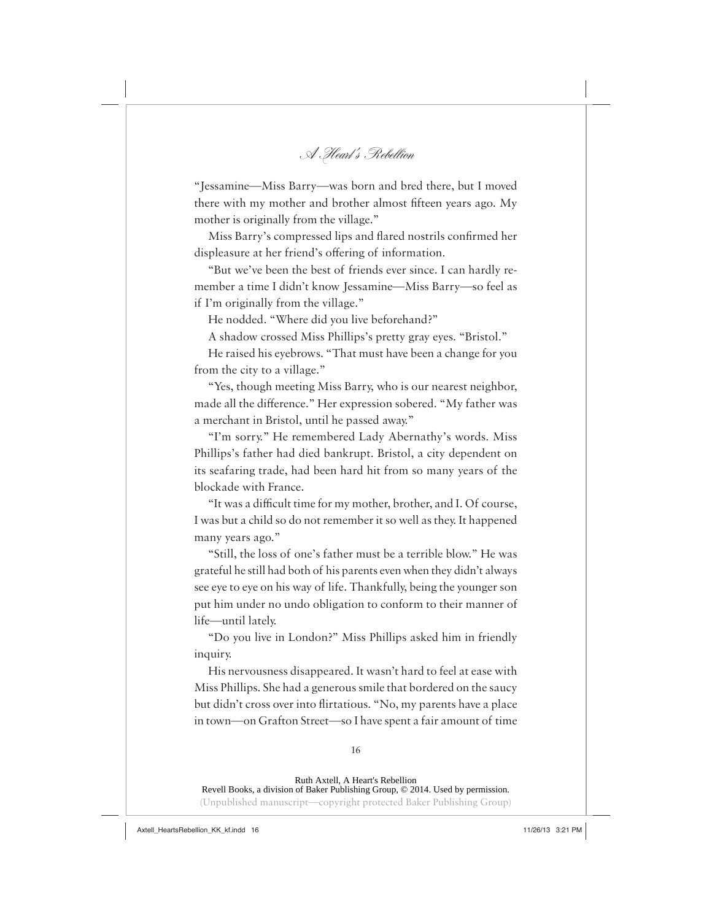A Heart's Rebellion

"Jessamine—Miss Barry—was born and bred there, but I moved there with my mother and brother almost fifteen years ago. My mother is originally from the village."

Miss Barry's compressed lips and flared nostrils confirmed her displeasure at her friend's offering of information.

"But we've been the best of friends ever since. I can hardly remember a time I didn't know Jessamine—Miss Barry—so feel as if I'm originally from the village."

He nodded. "Where did you live beforehand?"

A shadow crossed Miss Phillips's pretty gray eyes. "Bristol."

He raised his eyebrows. "That must have been a change for you from the city to a village."

"Yes, though meeting Miss Barry, who is our nearest neighbor, made all the difference." Her expression sobered. "My father was a merchant in Bristol, until he passed away."

"I'm sorry." He remembered Lady Abernathy's words. Miss Phillips's father had died bankrupt. Bristol, a city dependent on its seafaring trade, had been hard hit from so many years of the blockade with France.

"It was a difficult time for my mother, brother, and I. Of course, I was but a child so do not remember it so well as they. It happened many years ago."

"Still, the loss of one's father must be a terrible blow." He was grateful he still had both of his parents even when they didn't always see eye to eye on his way of life. Thankfully, being the younger son put him under no undo obligation to conform to their manner of life—until lately.

"Do you live in London?" Miss Phillips asked him in friendly inquiry.

His nervousness disappeared. It wasn't hard to feel at ease with Miss Phillips. She had a generous smile that bordered on the saucy but didn't cross over into flirtatious. "No, my parents have a place in town—on Grafton Street—so I have spent a fair amount of time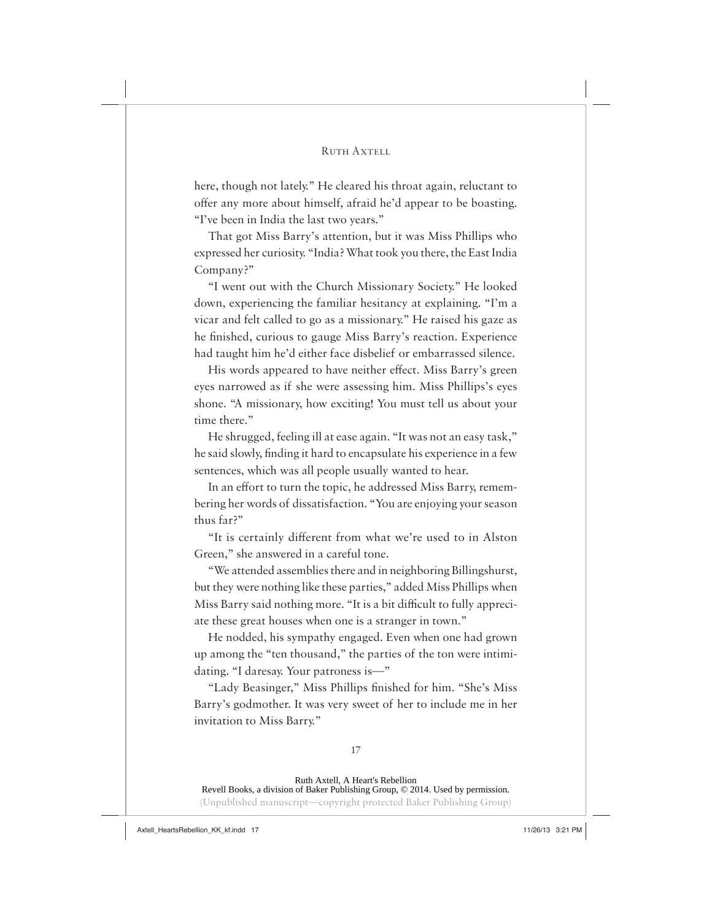here, though not lately." He cleared his throat again, reluctant to offer any more about himself, afraid he'd appear to be boasting. "I've been in India the last two years."

That got Miss Barry's attention, but it was Miss Phillips who expressed her curiosity. "India? What took you there, the East India Company?"

"I went out with the Church Missionary Society." He looked down, experiencing the familiar hesitancy at explaining. "I'm a vicar and felt called to go as a missionary." He raised his gaze as he finished, curious to gauge Miss Barry's reaction. Experience had taught him he'd either face disbelief or embarrassed silence.

His words appeared to have neither effect. Miss Barry's green eyes narrowed as if she were assessing him. Miss Phillips's eyes shone. "A missionary, how exciting! You must tell us about your time there."

He shrugged, feeling ill at ease again. "It was not an easy task," he said slowly, finding it hard to encapsulate his experience in a few sentences, which was all people usually wanted to hear.

In an effort to turn the topic, he addressed Miss Barry, remembering her words of dissatisfaction. "You are enjoying your season thus far?"

"It is certainly different from what we're used to in Alston Green," she answered in a careful tone.

"We attended assemblies there and in neighboring Billingshurst, but they were nothing like these parties," added Miss Phillips when Miss Barry said nothing more. "It is a bit difficult to fully appreciate these great houses when one is a stranger in town."

He nodded, his sympathy engaged. Even when one had grown up among the "ten thousand," the parties of the ton were intimidating. "I daresay. Your patroness is—"

"Lady Beasinger," Miss Phillips finished for him. "She's Miss Barry's godmother. It was very sweet of her to include me in her invitation to Miss Barry."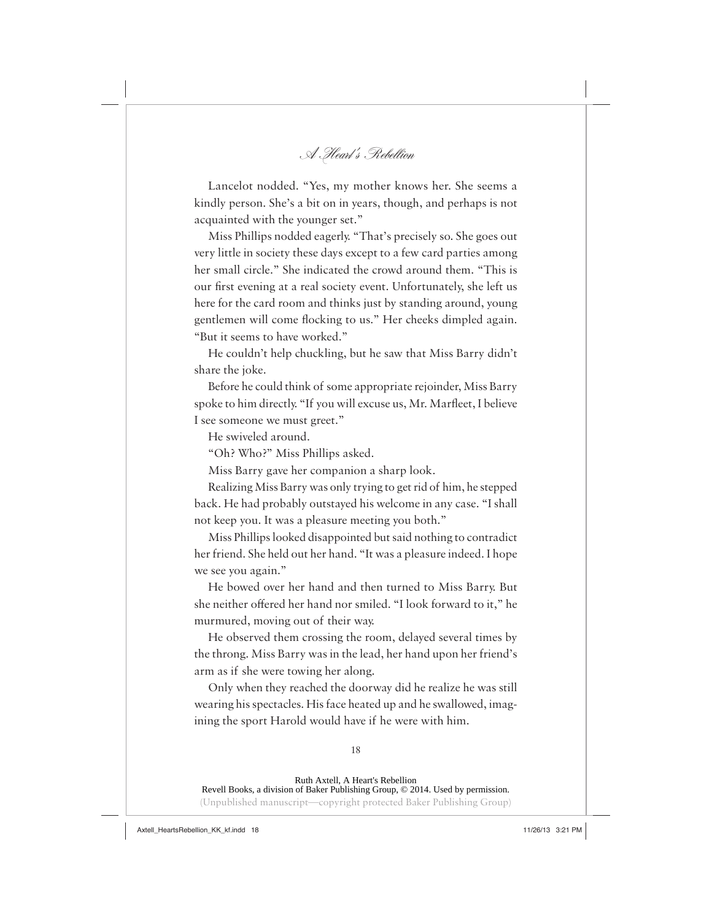A Heart's Rebellion

Lancelot nodded. "Yes, my mother knows her. She seems a kindly person. She's a bit on in years, though, and perhaps is not acquainted with the younger set."

Miss Phillips nodded eagerly. "That's precisely so. She goes out very little in society these days except to a few card parties among her small circle." She indicated the crowd around them. "This is our first evening at a real society event. Unfortunately, she left us here for the card room and thinks just by standing around, young gentlemen will come flocking to us." Her cheeks dimpled again. "But it seems to have worked."

He couldn't help chuckling, but he saw that Miss Barry didn't share the joke.

Before he could think of some appropriate rejoinder, Miss Barry spoke to him directly. "If you will excuse us, Mr. Marfleet, I believe I see someone we must greet."

He swiveled around.

"Oh? Who?" Miss Phillips asked.

Miss Barry gave her companion a sharp look.

Realizing Miss Barry was only trying to get rid of him, he stepped back. He had probably outstayed his welcome in any case. "I shall not keep you. It was a pleasure meeting you both."

Miss Phillips looked disappointed but said nothing to contradict her friend. She held out her hand. "It was a pleasure indeed. I hope we see you again."

He bowed over her hand and then turned to Miss Barry. But she neither offered her hand nor smiled. "I look forward to it," he murmured, moving out of their way.

He observed them crossing the room, delayed several times by the throng. Miss Barry was in the lead, her hand upon her friend's arm as if she were towing her along.

Only when they reached the doorway did he realize he was still wearing his spectacles. His face heated up and he swallowed, imagining the sport Harold would have if he were with him.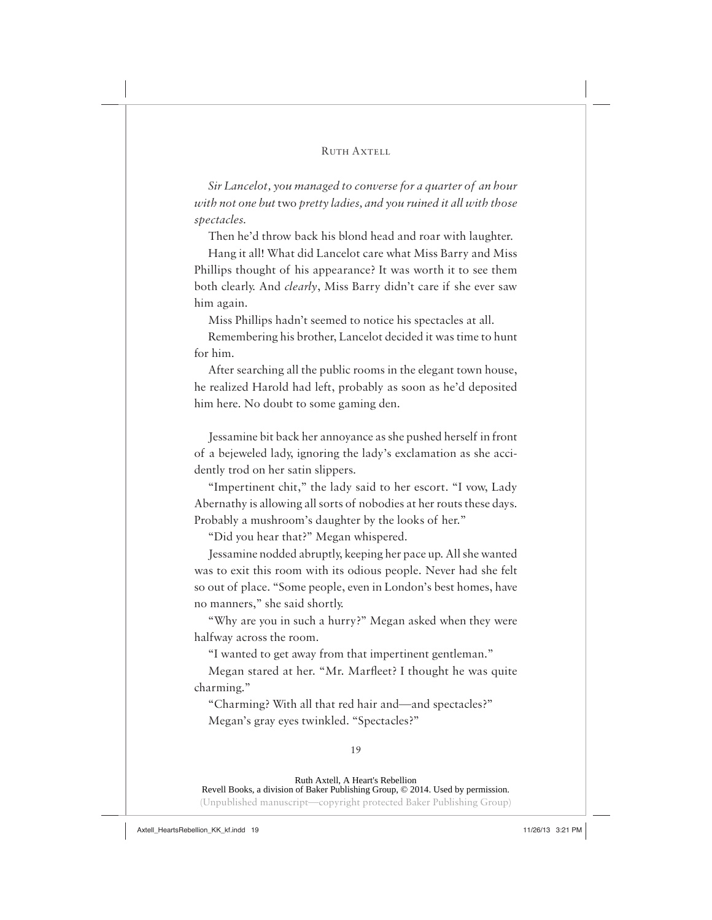*Sir Lancelot, you managed to converse for a quarter of an hour with not one but* two *pretty ladies, and you ruined it all with those spectacles.*

Then he'd throw back his blond head and roar with laughter.

Hang it all! What did Lancelot care what Miss Barry and Miss Phillips thought of his appearance? It was worth it to see them both clearly. And *clearly*, Miss Barry didn't care if she ever saw him again.

Miss Phillips hadn't seemed to notice his spectacles at all.

Remembering his brother, Lancelot decided it was time to hunt for him.

After searching all the public rooms in the elegant town house, he realized Harold had left, probably as soon as he'd deposited him here. No doubt to some gaming den.

Jessamine bit back her annoyance as she pushed herself in front of a bejeweled lady, ignoring the lady's exclamation as she accidently trod on her satin slippers.

"Impertinent chit," the lady said to her escort. "I vow, Lady Abernathy is allowing all sorts of nobodies at her routs these days. Probably a mushroom's daughter by the looks of her."

"Did you hear that?" Megan whispered.

Jessamine nodded abruptly, keeping her pace up. All she wanted was to exit this room with its odious people. Never had she felt so out of place. "Some people, even in London's best homes, have no manners," she said shortly.

"Why are you in such a hurry?" Megan asked when they were halfway across the room.

"I wanted to get away from that impertinent gentleman."

Megan stared at her. "Mr. Marfleet? I thought he was quite charming."

"Charming? With all that red hair and—and spectacles?" Megan's gray eyes twinkled. "Spectacles?"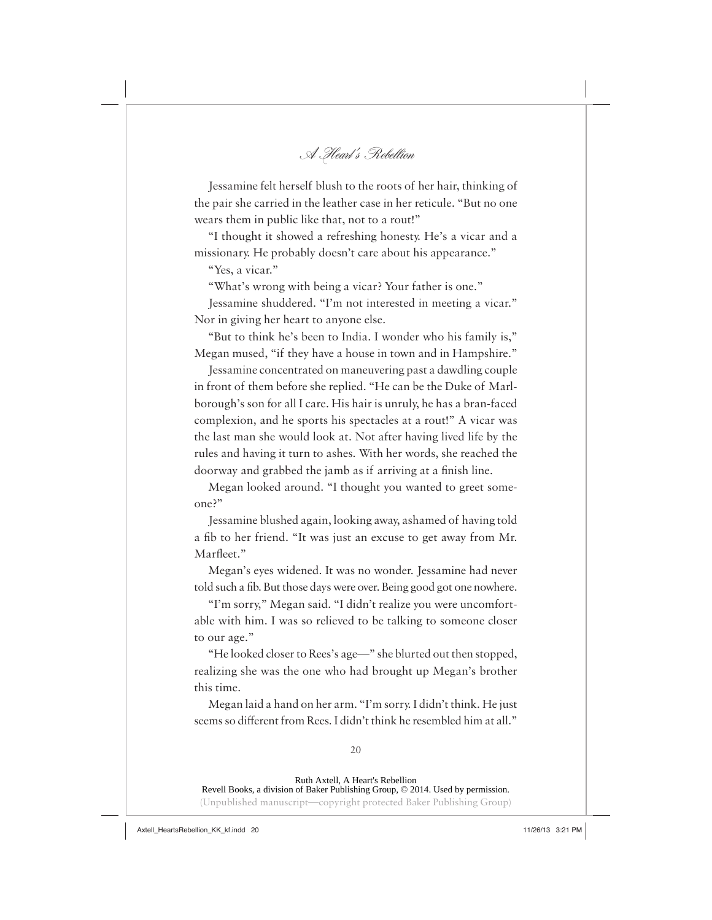A Heart's Rebellion

Jessamine felt herself blush to the roots of her hair, thinking of the pair she carried in the leather case in her reticule. "But no one wears them in public like that, not to a rout!"

"I thought it showed a refreshing honesty. He's a vicar and a missionary. He probably doesn't care about his appearance."

"Yes, a vicar."

"What's wrong with being a vicar? Your father is one."

Jessamine shuddered. "I'm not interested in meeting a vicar." Nor in giving her heart to anyone else.

"But to think he's been to India. I wonder who his family is," Megan mused, "if they have a house in town and in Hampshire."

Jessamine concentrated on maneuvering past a dawdling couple in front of them before she replied. "He can be the Duke of Marlborough's son for all I care. His hair is unruly, he has a bran-faced complexion, and he sports his spectacles at a rout!" A vicar was the last man she would look at. Not after having lived life by the rules and having it turn to ashes. With her words, she reached the doorway and grabbed the jamb as if arriving at a finish line.

Megan looked around. "I thought you wanted to greet someone?"

Jessamine blushed again, looking away, ashamed of having told a fib to her friend. "It was just an excuse to get away from Mr. Marfleet."

Megan's eyes widened. It was no wonder. Jessamine had never told such a fib. But those days were over. Being good got one nowhere.

"I'm sorry," Megan said. "I didn't realize you were uncomfortable with him. I was so relieved to be talking to someone closer to our age."

"He looked closer to Rees's age—" she blurted out then stopped, realizing she was the one who had brought up Megan's brother this time.

Megan laid a hand on her arm. "I'm sorry. I didn't think. He just seems so different from Rees. I didn't think he resembled him at all."